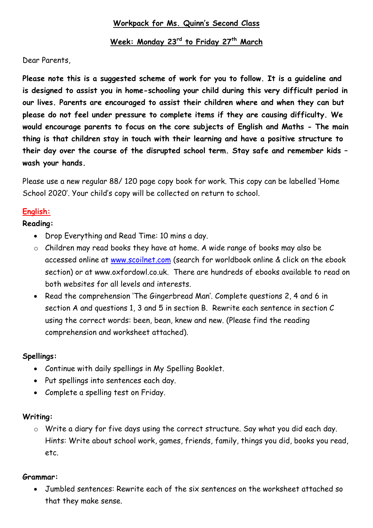## **Workpack for Ms. Quinn's Second Class**

# **Week: Monday 23rd to Friday 27th March**

Dear Parents,

**Please note this is a suggested scheme of work for you to follow. It is a guideline and is designed to assist you in home-schooling your child during this very difficult period in our lives. Parents are encouraged to assist their children where and when they can but please do not feel under pressure to complete items if they are causing difficulty. We would encourage parents to focus on the core subjects of English and Maths - The main thing is that children stay in touch with their learning and have a positive structure to their day over the course of the disrupted school term. Stay safe and remember kids – wash your hands.**

Please use a new regular 88/ 120 page copy book for work. This copy can be labelled 'Home School 2020'. Your child's copy will be collected on return to school.

## **English:**

### **Reading:**

- Drop Everything and Read Time: 10 mins a day.
- o Children may read books they have at home. A wide range of books may also be accessed online at [www.scoilnet.com](http://www.scoilnet.com/) (search for worldbook online & click on the ebook section) or at www.oxfordowl.co.uk. There are hundreds of ebooks available to read on both websites for all levels and interests.
- Read the comprehension 'The Gingerbread Man'. Complete questions 2, 4 and 6 in section A and questions 1, 3 and 5 in section B. Rewrite each sentence in section C using the correct words: been, bean, knew and new. (Please find the reading comprehension and worksheet attached).

#### **Spellings:**

- Continue with daily spellings in My Spelling Booklet.
- Put spellings into sentences each day.
- Complete a spelling test on Friday.

#### **Writing:**

o Write a diary for five days using the correct structure. Say what you did each day. Hints: Write about school work, games, friends, family, things you did, books you read, etc.

### **Grammar:**

 Jumbled sentences: Rewrite each of the six sentences on the worksheet attached so that they make sense.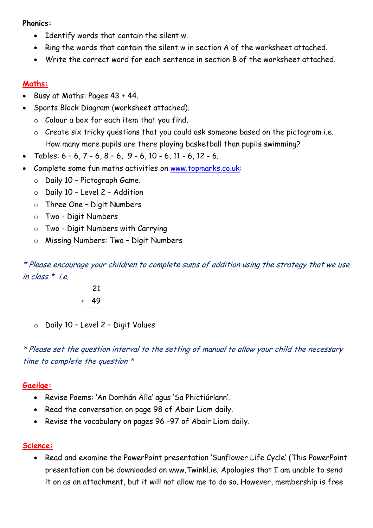#### **Phonics:**

- Identify words that contain the silent w.
- Ring the words that contain the silent w in section A of the worksheet attached.
- Write the correct word for each sentence in section B of the worksheet attached.

#### **Maths:**

- Busy at Maths: Pages 43 + 44.
- Sports Block Diagram (worksheet attached).
	- o Colour a box for each item that you find.
	- o Create six tricky questions that you could ask someone based on the pictogram i.e. How many more pupils are there playing basketball than pupils swimming?
- Tables: 6 6, 7 6, 8 6, 9 6, 10 6, 11 6, 12 6.
- Complete some fun maths activities on [www.topmarks.co.uk:](http://www.topmarks.co.uk/)
	- o Daily 10 Pictograph Game.
	- o Daily 10 Level 2 Addition
	- o Three One Digit Numbers
	- o Two Digit Numbers
	- o Two Digit Numbers with Carrying
	- o Missing Numbers: Two Digit Numbers

\* Please encourage your children to complete sums of addition using the strategy that we use in class  $*$  i.e.

> 21 + 49

o Daily 10 – Level 2 – Digit Values

\* Please set the question interval to the setting of manual to allow your child the necessary time to complete the question \*

### **Gaeilge:**

- Revise Poems: 'An Domhán Alla' agus 'Sa Phictiúrlann'.
- Read the conversation on page 98 of Abair Liom daily.
- Revise the vocabulary on pages 96 -97 of Abair Liom daily.

### **Science:**

 Read and examine the PowerPoint presentation 'Sunflower Life Cycle' (This PowerPoint presentation can be downloaded on www.Twinkl.ie. Apologies that I am unable to send it on as an attachment, but it will not allow me to do so. However, membership is free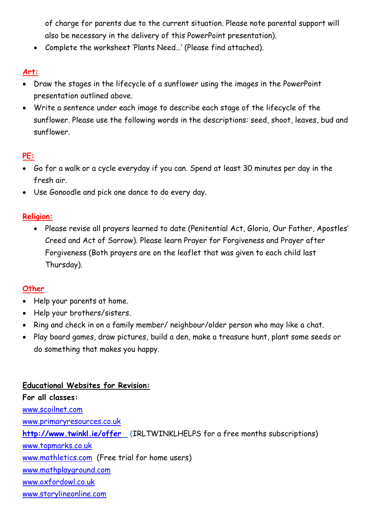of charge for parents due to the current situation. Please note parental support will also be necessary in the delivery of this PowerPoint presentation).

Complete the worksheet 'Plants Need…' (Please find attached).

# **Art:**

- Draw the stages in the lifecycle of a sunflower using the images in the PowerPoint presentation outlined above.
- Write a sentence under each image to describe each stage of the lifecycle of the sunflower. Please use the following words in the descriptions: seed, shoot, leaves, bud and sunflower.

# **PE:**

- Go for a walk or a cycle everyday if you can. Spend at least 30 minutes per day in the fresh air.
- Use Gonoodle and pick one dance to do every day.

# **Religion:**

 Please revise all prayers learned to date (Penitential Act, Gloria, Our Father, Apostles' Creed and Act of Sorrow). Please learn Prayer for Forgiveness and Prayer after Forgiveness (Both prayers are on the leaflet that was given to each child last Thursday).

# **Other**

- Help your parents at home.
- Help your brothers/sisters.
- Ring and check in on a family member/ neighbour/older person who may like a chat.
- Play board games, draw pictures, build a den, make a treasure hunt, plant some seeds or do something that makes you happy.

# **Educational Websites for Revision:**

**For all classes:**  [www.scoilnet.com](http://www.scoilnet.com/) [www.primaryresources.co.uk](http://www.primaryresources.co.uk/) **<http://www.twinkl.ie/offer>** (IRLTWINKLHELPS for a free months subscriptions) [www.topmarks.co.uk](http://www.topmarks.co.uk/) [www.mathletics.com](http://www.mathletics.com/) (Free trial for home users) [www.mathplayground.com](http://www.mathplayground.com/) [www.oxfordowl.co.uk](http://www.oxfordowl.co.uk/) [www.storylineonline.com](http://www.storylineonline.com/)